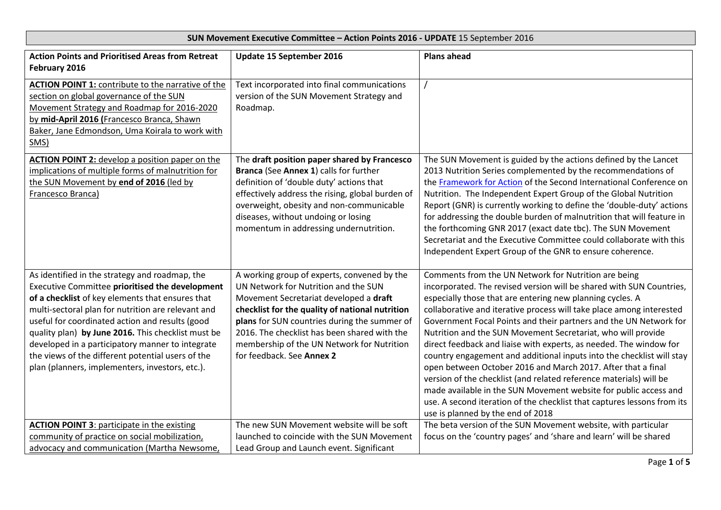|                                                                                                                                                                                                                                                                                                                                                                                                                                                                                  | <b>DUIT MOVEMENT EXECUTIVE COMMITTEE - ACTIVITY UNITS 2010 - OF DATE 1</b> 0 SEPTEMBER 2010                                                                                                                                                                                                                                                                 |                                                                                                                                                                                                                                                                                                                                                                                                                                                                                                                                                                                                                                                                                                                                                                                                                                                                                 |
|----------------------------------------------------------------------------------------------------------------------------------------------------------------------------------------------------------------------------------------------------------------------------------------------------------------------------------------------------------------------------------------------------------------------------------------------------------------------------------|-------------------------------------------------------------------------------------------------------------------------------------------------------------------------------------------------------------------------------------------------------------------------------------------------------------------------------------------------------------|---------------------------------------------------------------------------------------------------------------------------------------------------------------------------------------------------------------------------------------------------------------------------------------------------------------------------------------------------------------------------------------------------------------------------------------------------------------------------------------------------------------------------------------------------------------------------------------------------------------------------------------------------------------------------------------------------------------------------------------------------------------------------------------------------------------------------------------------------------------------------------|
| <b>Action Points and Prioritised Areas from Retreat</b><br>February 2016                                                                                                                                                                                                                                                                                                                                                                                                         | Update 15 September 2016                                                                                                                                                                                                                                                                                                                                    | <b>Plans ahead</b>                                                                                                                                                                                                                                                                                                                                                                                                                                                                                                                                                                                                                                                                                                                                                                                                                                                              |
| <b>ACTION POINT 1: contribute to the narrative of the</b><br>section on global governance of the SUN<br>Movement Strategy and Roadmap for 2016-2020<br>by mid-April 2016 (Francesco Branca, Shawn<br>Baker, Jane Edmondson, Uma Koirala to work with<br>SMS)                                                                                                                                                                                                                     | Text incorporated into final communications<br>version of the SUN Movement Strategy and<br>Roadmap.                                                                                                                                                                                                                                                         |                                                                                                                                                                                                                                                                                                                                                                                                                                                                                                                                                                                                                                                                                                                                                                                                                                                                                 |
| <b>ACTION POINT 2:</b> develop a position paper on the<br>implications of multiple forms of malnutrition for<br>the SUN Movement by end of 2016 (led by<br>Francesco Branca)                                                                                                                                                                                                                                                                                                     | The draft position paper shared by Francesco<br>Branca (See Annex 1) calls for further<br>definition of 'double duty' actions that<br>effectively address the rising, global burden of<br>overweight, obesity and non-communicable<br>diseases, without undoing or losing<br>momentum in addressing undernutrition.                                         | The SUN Movement is guided by the actions defined by the Lancet<br>2013 Nutrition Series complemented by the recommendations of<br>the Framework for Action of the Second International Conference on<br>Nutrition. The Independent Expert Group of the Global Nutrition<br>Report (GNR) is currently working to define the 'double-duty' actions<br>for addressing the double burden of malnutrition that will feature in<br>the forthcoming GNR 2017 (exact date tbc). The SUN Movement<br>Secretariat and the Executive Committee could collaborate with this<br>Independent Expert Group of the GNR to ensure coherence.                                                                                                                                                                                                                                                    |
| As identified in the strategy and roadmap, the<br>Executive Committee prioritised the development<br>of a checklist of key elements that ensures that<br>multi-sectoral plan for nutrition are relevant and<br>useful for coordinated action and results (good<br>quality plan) by June 2016. This checklist must be<br>developed in a participatory manner to integrate<br>the views of the different potential users of the<br>plan (planners, implementers, investors, etc.). | A working group of experts, convened by the<br>UN Network for Nutrition and the SUN<br>Movement Secretariat developed a draft<br>checklist for the quality of national nutrition<br>plans for SUN countries during the summer of<br>2016. The checklist has been shared with the<br>membership of the UN Network for Nutrition<br>for feedback. See Annex 2 | Comments from the UN Network for Nutrition are being<br>incorporated. The revised version will be shared with SUN Countries,<br>especially those that are entering new planning cycles. A<br>collaborative and iterative process will take place among interested<br>Government Focal Points and their partners and the UN Network for<br>Nutrition and the SUN Movement Secretariat, who will provide<br>direct feedback and liaise with experts, as needed. The window for<br>country engagement and additional inputs into the checklist will stay<br>open between October 2016 and March 2017. After that a final<br>version of the checklist (and related reference materials) will be<br>made available in the SUN Movement website for public access and<br>use. A second iteration of the checklist that captures lessons from its<br>use is planned by the end of 2018 |
| <b>ACTION POINT 3: participate in the existing</b><br>community of practice on social mobilization,<br>advocacy and communication (Martha Newsome,                                                                                                                                                                                                                                                                                                                               | The new SUN Movement website will be soft<br>launched to coincide with the SUN Movement<br>Lead Group and Launch event. Significant                                                                                                                                                                                                                         | The beta version of the SUN Movement website, with particular<br>focus on the 'country pages' and 'share and learn' will be shared                                                                                                                                                                                                                                                                                                                                                                                                                                                                                                                                                                                                                                                                                                                                              |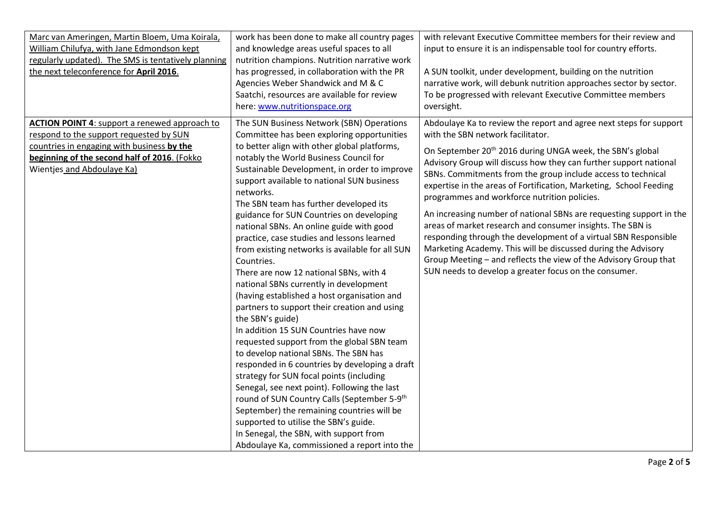| Marc van Ameringen, Martin Bloem, Uma Koirala,<br>William Chilufya, with Jane Edmondson kept<br>regularly updated). The SMS is tentatively planning<br>the next teleconference for April 2016.                              | work has been done to make all country pages<br>and knowledge areas useful spaces to all<br>nutrition champions. Nutrition narrative work<br>has progressed, in collaboration with the PR<br>Agencies Weber Shandwick and M & C<br>Saatchi, resources are available for review<br>here: www.nutritionspace.org                                                                                                                                                                                                                                                                                                                                                                                                                                                                                                                                                                                                                                                                                                                                                                                                                                                                                                                                                                 | with relevant Executive Committee members for their review and<br>input to ensure it is an indispensable tool for country efforts.<br>A SUN toolkit, under development, building on the nutrition<br>narrative work, will debunk nutrition approaches sector by sector.<br>To be progressed with relevant Executive Committee members<br>oversight.                                                                                                                                                                                                                                                                                                                                                                                                                                                                                               |
|-----------------------------------------------------------------------------------------------------------------------------------------------------------------------------------------------------------------------------|--------------------------------------------------------------------------------------------------------------------------------------------------------------------------------------------------------------------------------------------------------------------------------------------------------------------------------------------------------------------------------------------------------------------------------------------------------------------------------------------------------------------------------------------------------------------------------------------------------------------------------------------------------------------------------------------------------------------------------------------------------------------------------------------------------------------------------------------------------------------------------------------------------------------------------------------------------------------------------------------------------------------------------------------------------------------------------------------------------------------------------------------------------------------------------------------------------------------------------------------------------------------------------|---------------------------------------------------------------------------------------------------------------------------------------------------------------------------------------------------------------------------------------------------------------------------------------------------------------------------------------------------------------------------------------------------------------------------------------------------------------------------------------------------------------------------------------------------------------------------------------------------------------------------------------------------------------------------------------------------------------------------------------------------------------------------------------------------------------------------------------------------|
| <b>ACTION POINT 4: support a renewed approach to</b><br>respond to the support requested by SUN<br>countries in engaging with business by the<br>beginning of the second half of 2016. (Fokko<br>Wientjes and Abdoulaye Ka) | The SUN Business Network (SBN) Operations<br>Committee has been exploring opportunities<br>to better align with other global platforms,<br>notably the World Business Council for<br>Sustainable Development, in order to improve<br>support available to national SUN business<br>networks.<br>The SBN team has further developed its<br>guidance for SUN Countries on developing<br>national SBNs. An online guide with good<br>practice, case studies and lessons learned<br>from existing networks is available for all SUN<br>Countries.<br>There are now 12 national SBNs, with 4<br>national SBNs currently in development<br>(having established a host organisation and<br>partners to support their creation and using<br>the SBN's guide)<br>In addition 15 SUN Countries have now<br>requested support from the global SBN team<br>to develop national SBNs. The SBN has<br>responded in 6 countries by developing a draft<br>strategy for SUN focal points (including<br>Senegal, see next point). Following the last<br>round of SUN Country Calls (September 5-9 <sup>th</sup><br>September) the remaining countries will be<br>supported to utilise the SBN's guide.<br>In Senegal, the SBN, with support from<br>Abdoulaye Ka, commissioned a report into the | Abdoulaye Ka to review the report and agree next steps for support<br>with the SBN network facilitator.<br>On September 20 <sup>th</sup> 2016 during UNGA week, the SBN's global<br>Advisory Group will discuss how they can further support national<br>SBNs. Commitments from the group include access to technical<br>expertise in the areas of Fortification, Marketing, School Feeding<br>programmes and workforce nutrition policies.<br>An increasing number of national SBNs are requesting support in the<br>areas of market research and consumer insights. The SBN is<br>responding through the development of a virtual SBN Responsible<br>Marketing Academy. This will be discussed during the Advisory<br>Group Meeting - and reflects the view of the Advisory Group that<br>SUN needs to develop a greater focus on the consumer. |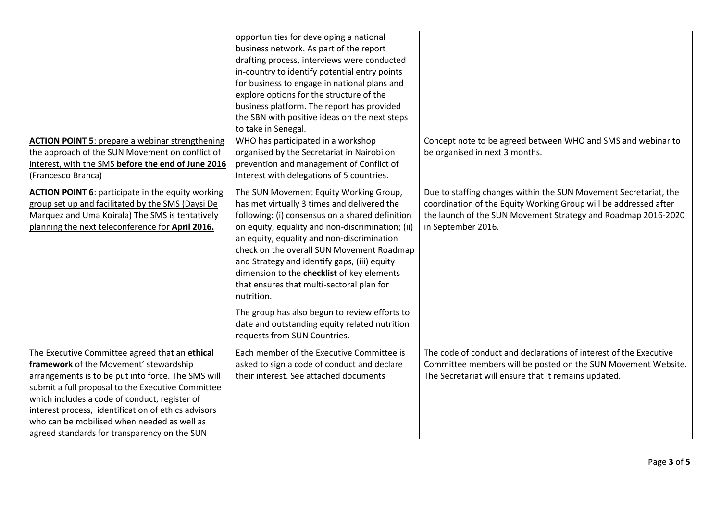|                                                                                                                                                                                                                                                                                                                                                                                                            | opportunities for developing a national<br>business network. As part of the report<br>drafting process, interviews were conducted<br>in-country to identify potential entry points<br>for business to engage in national plans and<br>explore options for the structure of the<br>business platform. The report has provided<br>the SBN with positive ideas on the next steps<br>to take in Senegal.                                                                                                                                                                               |                                                                                                                                                                                                                             |
|------------------------------------------------------------------------------------------------------------------------------------------------------------------------------------------------------------------------------------------------------------------------------------------------------------------------------------------------------------------------------------------------------------|------------------------------------------------------------------------------------------------------------------------------------------------------------------------------------------------------------------------------------------------------------------------------------------------------------------------------------------------------------------------------------------------------------------------------------------------------------------------------------------------------------------------------------------------------------------------------------|-----------------------------------------------------------------------------------------------------------------------------------------------------------------------------------------------------------------------------|
| <b>ACTION POINT 5: prepare a webinar strengthening</b><br>the approach of the SUN Movement on conflict of<br>interest, with the SMS before the end of June 2016<br>(Francesco Branca)                                                                                                                                                                                                                      | WHO has participated in a workshop<br>organised by the Secretariat in Nairobi on<br>prevention and management of Conflict of<br>Interest with delegations of 5 countries.                                                                                                                                                                                                                                                                                                                                                                                                          | Concept note to be agreed between WHO and SMS and webinar to<br>be organised in next 3 months.                                                                                                                              |
| <b>ACTION POINT 6: participate in the equity working</b><br>group set up and facilitated by the SMS (Daysi De<br>Marquez and Uma Koirala) The SMS is tentatively<br>planning the next teleconference for April 2016.                                                                                                                                                                                       | The SUN Movement Equity Working Group,<br>has met virtually 3 times and delivered the<br>following: (i) consensus on a shared definition<br>on equity, equality and non-discrimination; (ii)<br>an equity, equality and non-discrimination<br>check on the overall SUN Movement Roadmap<br>and Strategy and identify gaps, (iii) equity<br>dimension to the checklist of key elements<br>that ensures that multi-sectoral plan for<br>nutrition.<br>The group has also begun to review efforts to<br>date and outstanding equity related nutrition<br>requests from SUN Countries. | Due to staffing changes within the SUN Movement Secretariat, the<br>coordination of the Equity Working Group will be addressed after<br>the launch of the SUN Movement Strategy and Roadmap 2016-2020<br>in September 2016. |
| The Executive Committee agreed that an ethical<br>framework of the Movement' stewardship<br>arrangements is to be put into force. The SMS will<br>submit a full proposal to the Executive Committee<br>which includes a code of conduct, register of<br>interest process, identification of ethics advisors<br>who can be mobilised when needed as well as<br>agreed standards for transparency on the SUN | Each member of the Executive Committee is<br>asked to sign a code of conduct and declare<br>their interest. See attached documents                                                                                                                                                                                                                                                                                                                                                                                                                                                 | The code of conduct and declarations of interest of the Executive<br>Committee members will be posted on the SUN Movement Website.<br>The Secretariat will ensure that it remains updated.                                  |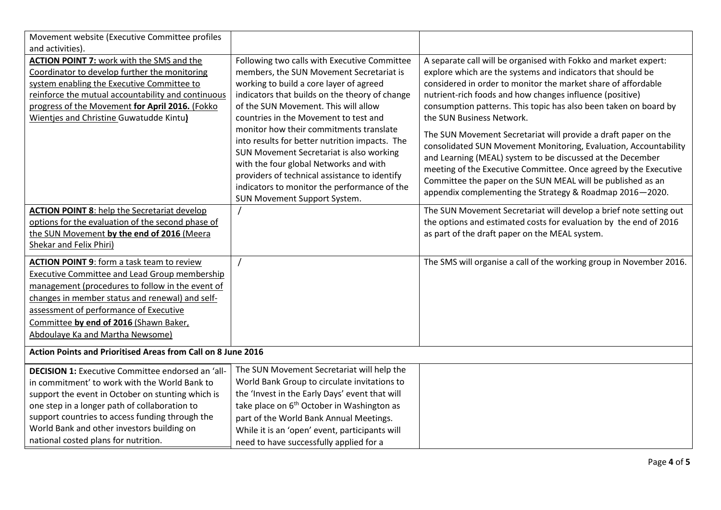| Movement website (Executive Committee profiles               |                                                                                                                                                                                                                                                                                                                  |                                                                                                                                                                                                                                                                                                                                                                                                 |  |  |
|--------------------------------------------------------------|------------------------------------------------------------------------------------------------------------------------------------------------------------------------------------------------------------------------------------------------------------------------------------------------------------------|-------------------------------------------------------------------------------------------------------------------------------------------------------------------------------------------------------------------------------------------------------------------------------------------------------------------------------------------------------------------------------------------------|--|--|
| and activities).                                             |                                                                                                                                                                                                                                                                                                                  |                                                                                                                                                                                                                                                                                                                                                                                                 |  |  |
| <b>ACTION POINT 7: work with the SMS and the</b>             | Following two calls with Executive Committee                                                                                                                                                                                                                                                                     | A separate call will be organised with Fokko and market expert:                                                                                                                                                                                                                                                                                                                                 |  |  |
| Coordinator to develop further the monitoring                | members, the SUN Movement Secretariat is                                                                                                                                                                                                                                                                         | explore which are the systems and indicators that should be                                                                                                                                                                                                                                                                                                                                     |  |  |
| system enabling the Executive Committee to                   | working to build a core layer of agreed                                                                                                                                                                                                                                                                          | considered in order to monitor the market share of affordable                                                                                                                                                                                                                                                                                                                                   |  |  |
| reinforce the mutual accountability and continuous           | indicators that builds on the theory of change                                                                                                                                                                                                                                                                   | nutrient-rich foods and how changes influence (positive)                                                                                                                                                                                                                                                                                                                                        |  |  |
| progress of the Movement for April 2016. (Fokko              | of the SUN Movement. This will allow                                                                                                                                                                                                                                                                             | consumption patterns. This topic has also been taken on board by                                                                                                                                                                                                                                                                                                                                |  |  |
| <b>Wientjes and Christine Guwatudde Kintu)</b>               | countries in the Movement to test and                                                                                                                                                                                                                                                                            | the SUN Business Network.                                                                                                                                                                                                                                                                                                                                                                       |  |  |
|                                                              | monitor how their commitments translate<br>into results for better nutrition impacts. The<br>SUN Movement Secretariat is also working<br>with the four global Networks and with<br>providers of technical assistance to identify<br>indicators to monitor the performance of the<br>SUN Movement Support System. | The SUN Movement Secretariat will provide a draft paper on the<br>consolidated SUN Movement Monitoring, Evaluation, Accountability<br>and Learning (MEAL) system to be discussed at the December<br>meeting of the Executive Committee. Once agreed by the Executive<br>Committee the paper on the SUN MEAL will be published as an<br>appendix complementing the Strategy & Roadmap 2016-2020. |  |  |
| <b>ACTION POINT 8: help the Secretariat develop</b>          |                                                                                                                                                                                                                                                                                                                  | The SUN Movement Secretariat will develop a brief note setting out                                                                                                                                                                                                                                                                                                                              |  |  |
| options for the evaluation of the second phase of            |                                                                                                                                                                                                                                                                                                                  | the options and estimated costs for evaluation by the end of 2016                                                                                                                                                                                                                                                                                                                               |  |  |
| the SUN Movement by the end of 2016 (Meera                   |                                                                                                                                                                                                                                                                                                                  | as part of the draft paper on the MEAL system.                                                                                                                                                                                                                                                                                                                                                  |  |  |
| Shekar and Felix Phiri)                                      |                                                                                                                                                                                                                                                                                                                  |                                                                                                                                                                                                                                                                                                                                                                                                 |  |  |
| <b>ACTION POINT 9:</b> form a task team to review            |                                                                                                                                                                                                                                                                                                                  | The SMS will organise a call of the working group in November 2016.                                                                                                                                                                                                                                                                                                                             |  |  |
| Executive Committee and Lead Group membership                |                                                                                                                                                                                                                                                                                                                  |                                                                                                                                                                                                                                                                                                                                                                                                 |  |  |
| management (procedures to follow in the event of             |                                                                                                                                                                                                                                                                                                                  |                                                                                                                                                                                                                                                                                                                                                                                                 |  |  |
| changes in member status and renewal) and self-              |                                                                                                                                                                                                                                                                                                                  |                                                                                                                                                                                                                                                                                                                                                                                                 |  |  |
| assessment of performance of Executive                       |                                                                                                                                                                                                                                                                                                                  |                                                                                                                                                                                                                                                                                                                                                                                                 |  |  |
| Committee by end of 2016 (Shawn Baker,                       |                                                                                                                                                                                                                                                                                                                  |                                                                                                                                                                                                                                                                                                                                                                                                 |  |  |
| Abdoulaye Ka and Martha Newsome)                             |                                                                                                                                                                                                                                                                                                                  |                                                                                                                                                                                                                                                                                                                                                                                                 |  |  |
| Action Points and Prioritised Areas from Call on 8 June 2016 |                                                                                                                                                                                                                                                                                                                  |                                                                                                                                                                                                                                                                                                                                                                                                 |  |  |
|                                                              |                                                                                                                                                                                                                                                                                                                  |                                                                                                                                                                                                                                                                                                                                                                                                 |  |  |
| DECISION 1: Executive Committee endorsed an 'all-            | The SUN Movement Secretariat will help the                                                                                                                                                                                                                                                                       |                                                                                                                                                                                                                                                                                                                                                                                                 |  |  |
| in commitment' to work with the World Bank to                | World Bank Group to circulate invitations to                                                                                                                                                                                                                                                                     |                                                                                                                                                                                                                                                                                                                                                                                                 |  |  |
| support the event in October on stunting which is            | the 'Invest in the Early Days' event that will                                                                                                                                                                                                                                                                   |                                                                                                                                                                                                                                                                                                                                                                                                 |  |  |
| one step in a longer path of collaboration to                | take place on 6 <sup>th</sup> October in Washington as                                                                                                                                                                                                                                                           |                                                                                                                                                                                                                                                                                                                                                                                                 |  |  |
| support countries to access funding through the              | part of the World Bank Annual Meetings.                                                                                                                                                                                                                                                                          |                                                                                                                                                                                                                                                                                                                                                                                                 |  |  |
| World Bank and other investors building on                   | While it is an 'open' event, participants will                                                                                                                                                                                                                                                                   |                                                                                                                                                                                                                                                                                                                                                                                                 |  |  |
| national costed plans for nutrition.                         | need to have successfully applied for a                                                                                                                                                                                                                                                                          |                                                                                                                                                                                                                                                                                                                                                                                                 |  |  |